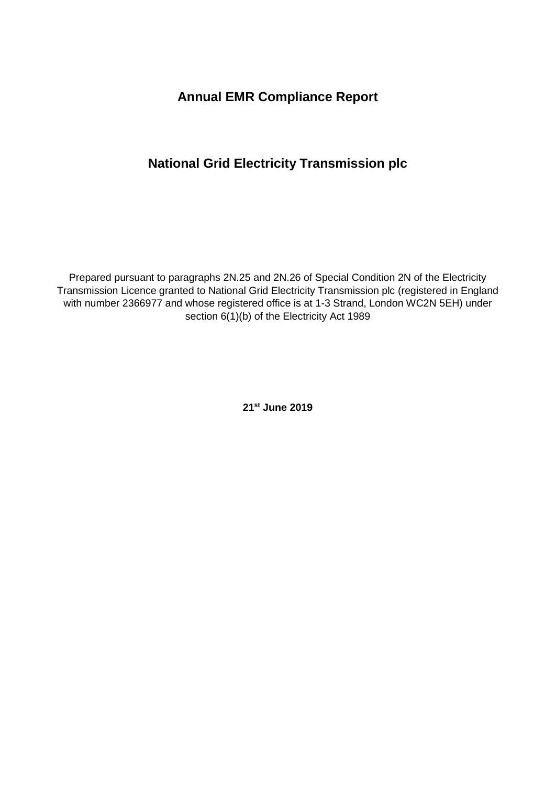**Annual EMR Compliance Report**

# **National Grid Electricity Transmission plc**

Prepared pursuant to paragraphs 2N.25 and 2N.26 of Special Condition 2N of the Electricity Transmission Licence granted to National Grid Electricity Transmission plc (registered in England with number 2366977 and whose registered office is at 1-3 Strand, London WC2N 5EH) under section 6(1)(b) of the Electricity Act 1989

**21st June 2019**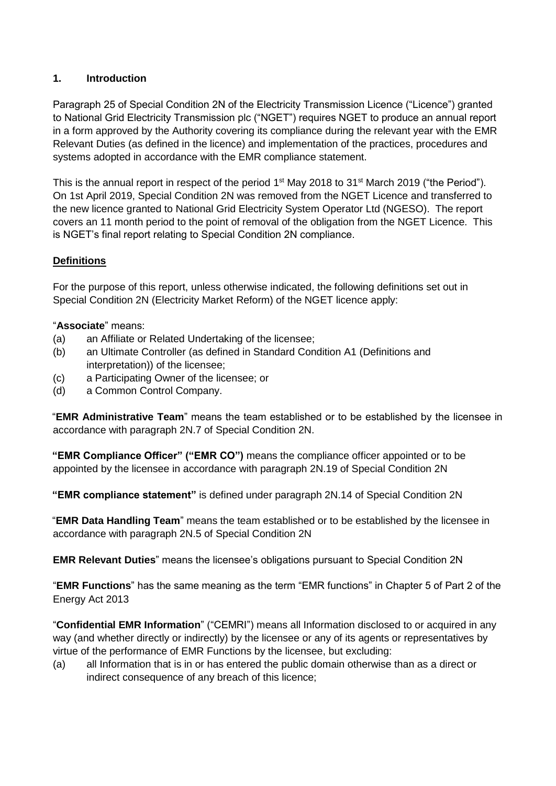#### **1. Introduction**

Paragraph 25 of Special Condition 2N of the Electricity Transmission Licence ("Licence") granted to National Grid Electricity Transmission plc ("NGET") requires NGET to produce an annual report in a form approved by the Authority covering its compliance during the relevant year with the EMR Relevant Duties (as defined in the licence) and implementation of the practices, procedures and systems adopted in accordance with the EMR compliance statement.

This is the annual report in respect of the period  $1<sup>st</sup>$  May 2018 to 31<sup>st</sup> March 2019 ("the Period"). On 1st April 2019, Special Condition 2N was removed from the NGET Licence and transferred to the new licence granted to National Grid Electricity System Operator Ltd (NGESO). The report covers an 11 month period to the point of removal of the obligation from the NGET Licence. This is NGET's final report relating to Special Condition 2N compliance.

#### **Definitions**

For the purpose of this report, unless otherwise indicated, the following definitions set out in Special Condition 2N (Electricity Market Reform) of the NGET licence apply:

#### "**Associate**" means:

- (a) an Affiliate or Related Undertaking of the licensee;
- (b) an Ultimate Controller (as defined in Standard Condition A1 (Definitions and interpretation)) of the licensee;
- (c) a Participating Owner of the licensee; or
- (d) a Common Control Company.

"**EMR Administrative Team**" means the team established or to be established by the licensee in accordance with paragraph 2N.7 of Special Condition 2N.

**"EMR Compliance Officer" ("EMR CO")** means the compliance officer appointed or to be appointed by the licensee in accordance with paragraph 2N.19 of Special Condition 2N

**"EMR compliance statement"** is defined under paragraph 2N.14 of Special Condition 2N

"**EMR Data Handling Team**" means the team established or to be established by the licensee in accordance with paragraph 2N.5 of Special Condition 2N

**EMR Relevant Duties**" means the licensee's obligations pursuant to Special Condition 2N

"**EMR Functions**" has the same meaning as the term "EMR functions" in Chapter 5 of Part 2 of the Energy Act 2013

"**Confidential EMR Information**" ("CEMRI") means all Information disclosed to or acquired in any way (and whether directly or indirectly) by the licensee or any of its agents or representatives by virtue of the performance of EMR Functions by the licensee, but excluding:

(a) all Information that is in or has entered the public domain otherwise than as a direct or indirect consequence of any breach of this licence;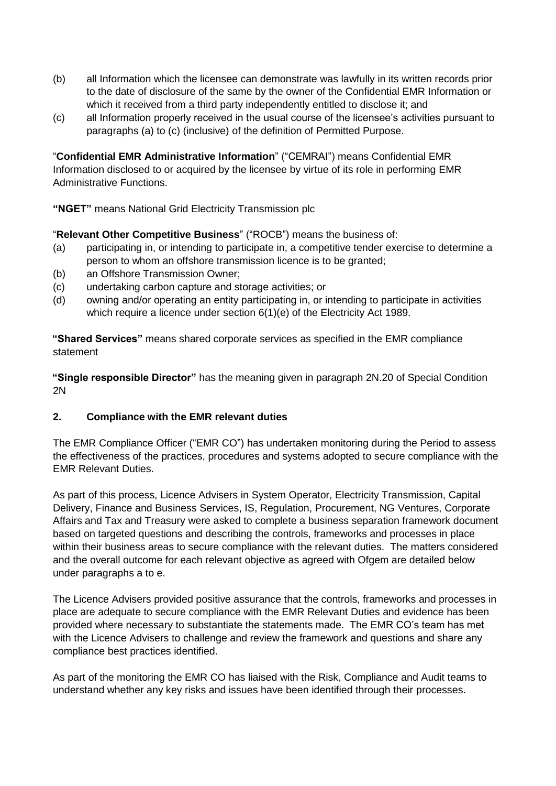- (b) all Information which the licensee can demonstrate was lawfully in its written records prior to the date of disclosure of the same by the owner of the Confidential EMR Information or which it received from a third party independently entitled to disclose it; and
- (c) all Information properly received in the usual course of the licensee's activities pursuant to paragraphs (a) to (c) (inclusive) of the definition of Permitted Purpose.

"**Confidential EMR Administrative Information**" ("CEMRAI") means Confidential EMR Information disclosed to or acquired by the licensee by virtue of its role in performing EMR Administrative Functions.

**"NGET"** means National Grid Electricity Transmission plc

#### "**Relevant Other Competitive Business**" ("ROCB") means the business of:

- (a) participating in, or intending to participate in, a competitive tender exercise to determine a person to whom an offshore transmission licence is to be granted;
- (b) an Offshore Transmission Owner;
- (c) undertaking carbon capture and storage activities; or
- (d) owning and/or operating an entity participating in, or intending to participate in activities which require a licence under section 6(1)(e) of the Electricity Act 1989.

**"Shared Services"** means shared corporate services as specified in the EMR compliance statement

**"Single responsible Director"** has the meaning given in paragraph 2N.20 of Special Condition 2N

#### **2. Compliance with the EMR relevant duties**

The EMR Compliance Officer ("EMR CO") has undertaken monitoring during the Period to assess the effectiveness of the practices, procedures and systems adopted to secure compliance with the EMR Relevant Duties.

As part of this process, Licence Advisers in System Operator, Electricity Transmission, Capital Delivery, Finance and Business Services, IS, Regulation, Procurement, NG Ventures, Corporate Affairs and Tax and Treasury were asked to complete a business separation framework document based on targeted questions and describing the controls, frameworks and processes in place within their business areas to secure compliance with the relevant duties. The matters considered and the overall outcome for each relevant objective as agreed with Ofgem are detailed below under paragraphs a to e.

The Licence Advisers provided positive assurance that the controls, frameworks and processes in place are adequate to secure compliance with the EMR Relevant Duties and evidence has been provided where necessary to substantiate the statements made. The EMR CO's team has met with the Licence Advisers to challenge and review the framework and questions and share any compliance best practices identified.

As part of the monitoring the EMR CO has liaised with the Risk, Compliance and Audit teams to understand whether any key risks and issues have been identified through their processes.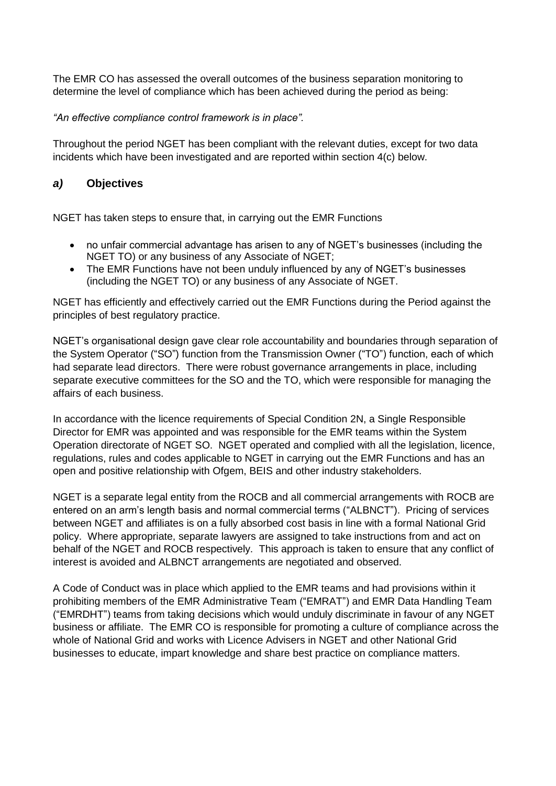The EMR CO has assessed the overall outcomes of the business separation monitoring to determine the level of compliance which has been achieved during the period as being:

*"An effective compliance control framework is in place".*

Throughout the period NGET has been compliant with the relevant duties, except for two data incidents which have been investigated and are reported within section 4(c) below.

# *a)* **Objectives**

NGET has taken steps to ensure that, in carrying out the EMR Functions

- no unfair commercial advantage has arisen to any of NGET's businesses (including the NGET TO) or any business of any Associate of NGET;
- The EMR Functions have not been unduly influenced by any of NGET's businesses (including the NGET TO) or any business of any Associate of NGET.

NGET has efficiently and effectively carried out the EMR Functions during the Period against the principles of best regulatory practice.

NGET's organisational design gave clear role accountability and boundaries through separation of the System Operator ("SO") function from the Transmission Owner ("TO") function, each of which had separate lead directors. There were robust governance arrangements in place, including separate executive committees for the SO and the TO, which were responsible for managing the affairs of each business.

In accordance with the licence requirements of Special Condition 2N, a Single Responsible Director for EMR was appointed and was responsible for the EMR teams within the System Operation directorate of NGET SO. NGET operated and complied with all the legislation, licence, regulations, rules and codes applicable to NGET in carrying out the EMR Functions and has an open and positive relationship with Ofgem, BEIS and other industry stakeholders.

NGET is a separate legal entity from the ROCB and all commercial arrangements with ROCB are entered on an arm's length basis and normal commercial terms ("ALBNCT"). Pricing of services between NGET and affiliates is on a fully absorbed cost basis in line with a formal National Grid policy. Where appropriate, separate lawyers are assigned to take instructions from and act on behalf of the NGET and ROCB respectively. This approach is taken to ensure that any conflict of interest is avoided and ALBNCT arrangements are negotiated and observed.

A Code of Conduct was in place which applied to the EMR teams and had provisions within it prohibiting members of the EMR Administrative Team ("EMRAT") and EMR Data Handling Team ("EMRDHT") teams from taking decisions which would unduly discriminate in favour of any NGET business or affiliate. The EMR CO is responsible for promoting a culture of compliance across the whole of National Grid and works with Licence Advisers in NGET and other National Grid businesses to educate, impart knowledge and share best practice on compliance matters.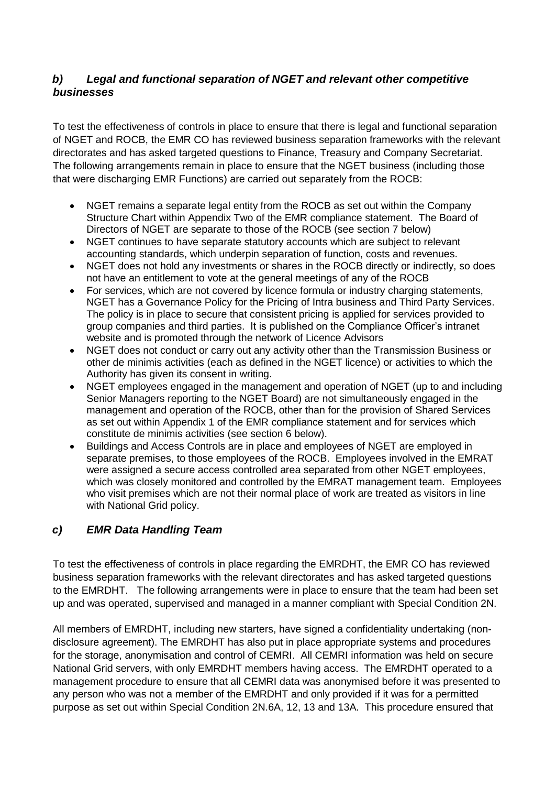# *b) Legal and functional separation of NGET and relevant other competitive businesses*

To test the effectiveness of controls in place to ensure that there is legal and functional separation of NGET and ROCB, the EMR CO has reviewed business separation frameworks with the relevant directorates and has asked targeted questions to Finance, Treasury and Company Secretariat. The following arrangements remain in place to ensure that the NGET business (including those that were discharging EMR Functions) are carried out separately from the ROCB:

- NGET remains a separate legal entity from the ROCB as set out within the Company Structure Chart within Appendix Two of the EMR compliance statement. The Board of Directors of NGET are separate to those of the ROCB (see section 7 below)
- NGET continues to have separate statutory accounts which are subject to relevant accounting standards, which underpin separation of function, costs and revenues.
- NGET does not hold any investments or shares in the ROCB directly or indirectly, so does not have an entitlement to vote at the general meetings of any of the ROCB
- For services, which are not covered by licence formula or industry charging statements, NGET has a Governance Policy for the Pricing of Intra business and Third Party Services. The policy is in place to secure that consistent pricing is applied for services provided to group companies and third parties. It is published on the Compliance Officer's intranet website and is promoted through the network of Licence Advisors
- NGET does not conduct or carry out any activity other than the Transmission Business or other de minimis activities (each as defined in the NGET licence) or activities to which the Authority has given its consent in writing.
- NGET employees engaged in the management and operation of NGET (up to and including Senior Managers reporting to the NGET Board) are not simultaneously engaged in the management and operation of the ROCB, other than for the provision of Shared Services as set out within Appendix 1 of the EMR compliance statement and for services which constitute de minimis activities (see section 6 below).
- Buildings and Access Controls are in place and employees of NGET are employed in separate premises, to those employees of the ROCB. Employees involved in the EMRAT were assigned a secure access controlled area separated from other NGET employees, which was closely monitored and controlled by the EMRAT management team. Employees who visit premises which are not their normal place of work are treated as visitors in line with National Grid policy.

# *c) EMR Data Handling Team*

To test the effectiveness of controls in place regarding the EMRDHT, the EMR CO has reviewed business separation frameworks with the relevant directorates and has asked targeted questions to the EMRDHT. The following arrangements were in place to ensure that the team had been set up and was operated, supervised and managed in a manner compliant with Special Condition 2N.

All members of EMRDHT, including new starters, have signed a confidentiality undertaking (nondisclosure agreement). The EMRDHT has also put in place appropriate systems and procedures for the storage, anonymisation and control of CEMRI. All CEMRI information was held on secure National Grid servers, with only EMRDHT members having access. The EMRDHT operated to a management procedure to ensure that all CEMRI data was anonymised before it was presented to any person who was not a member of the EMRDHT and only provided if it was for a permitted purpose as set out within Special Condition 2N.6A, 12, 13 and 13A. This procedure ensured that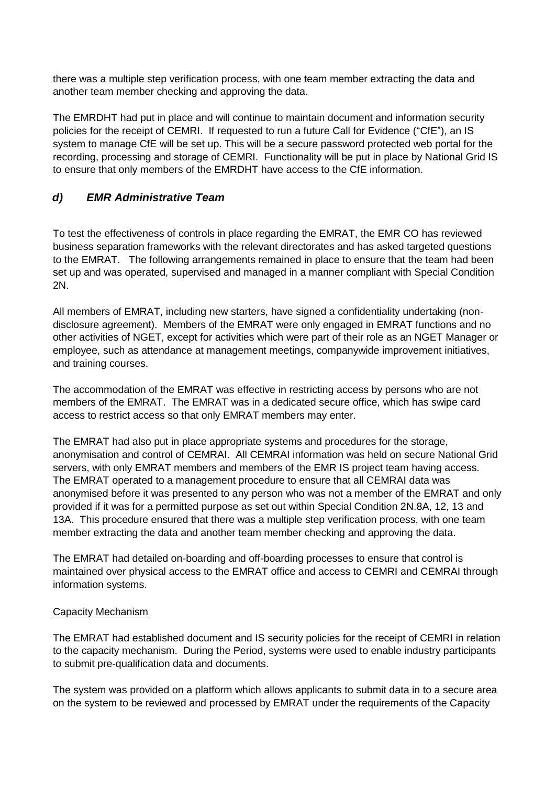there was a multiple step verification process, with one team member extracting the data and another team member checking and approving the data.

The EMRDHT had put in place and will continue to maintain document and information security policies for the receipt of CEMRI. If requested to run a future Call for Evidence ("CfE"), an IS system to manage CfE will be set up. This will be a secure password protected web portal for the recording, processing and storage of CEMRI. Functionality will be put in place by National Grid IS to ensure that only members of the EMRDHT have access to the CfE information.

# *d) EMR Administrative Team*

To test the effectiveness of controls in place regarding the EMRAT, the EMR CO has reviewed business separation frameworks with the relevant directorates and has asked targeted questions to the EMRAT. The following arrangements remained in place to ensure that the team had been set up and was operated, supervised and managed in a manner compliant with Special Condition 2N.

All members of EMRAT, including new starters, have signed a confidentiality undertaking (nondisclosure agreement). Members of the EMRAT were only engaged in EMRAT functions and no other activities of NGET, except for activities which were part of their role as an NGET Manager or employee, such as attendance at management meetings, companywide improvement initiatives, and training courses.

The accommodation of the EMRAT was effective in restricting access by persons who are not members of the EMRAT. The EMRAT was in a dedicated secure office, which has swipe card access to restrict access so that only EMRAT members may enter.

The EMRAT had also put in place appropriate systems and procedures for the storage, anonymisation and control of CEMRAI. All CEMRAI information was held on secure National Grid servers, with only EMRAT members and members of the EMR IS project team having access. The EMRAT operated to a management procedure to ensure that all CEMRAI data was anonymised before it was presented to any person who was not a member of the EMRAT and only provided if it was for a permitted purpose as set out within Special Condition 2N.8A, 12, 13 and 13A. This procedure ensured that there was a multiple step verification process, with one team member extracting the data and another team member checking and approving the data.

The EMRAT had detailed on-boarding and off-boarding processes to ensure that control is maintained over physical access to the EMRAT office and access to CEMRI and CEMRAI through information systems.

#### Capacity Mechanism

The EMRAT had established document and IS security policies for the receipt of CEMRI in relation to the capacity mechanism. During the Period, systems were used to enable industry participants to submit pre-qualification data and documents.

The system was provided on a platform which allows applicants to submit data in to a secure area on the system to be reviewed and processed by EMRAT under the requirements of the Capacity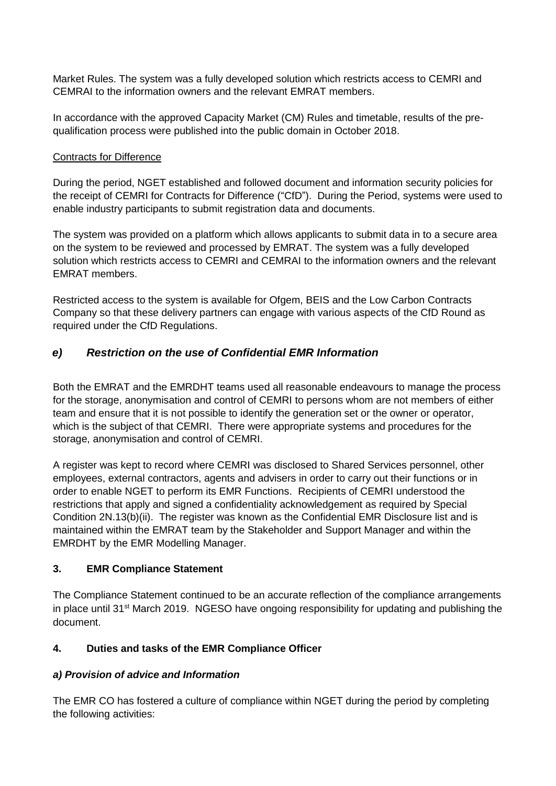Market Rules. The system was a fully developed solution which restricts access to CEMRI and CEMRAI to the information owners and the relevant EMRAT members.

In accordance with the approved Capacity Market (CM) Rules and timetable, results of the prequalification process were published into the public domain in October 2018.

#### Contracts for Difference

During the period, NGET established and followed document and information security policies for the receipt of CEMRI for Contracts for Difference ("CfD"). During the Period, systems were used to enable industry participants to submit registration data and documents.

The system was provided on a platform which allows applicants to submit data in to a secure area on the system to be reviewed and processed by EMRAT. The system was a fully developed solution which restricts access to CEMRI and CEMRAI to the information owners and the relevant EMRAT members.

Restricted access to the system is available for Ofgem, BEIS and the Low Carbon Contracts Company so that these delivery partners can engage with various aspects of the CfD Round as required under the CfD Regulations.

# *e) Restriction on the use of Confidential EMR Information*

Both the EMRAT and the EMRDHT teams used all reasonable endeavours to manage the process for the storage, anonymisation and control of CEMRI to persons whom are not members of either team and ensure that it is not possible to identify the generation set or the owner or operator, which is the subject of that CEMRI. There were appropriate systems and procedures for the storage, anonymisation and control of CEMRI.

A register was kept to record where CEMRI was disclosed to Shared Services personnel, other employees, external contractors, agents and advisers in order to carry out their functions or in order to enable NGET to perform its EMR Functions. Recipients of CEMRI understood the restrictions that apply and signed a confidentiality acknowledgement as required by Special Condition 2N.13(b)(ii). The register was known as the Confidential EMR Disclosure list and is maintained within the EMRAT team by the Stakeholder and Support Manager and within the EMRDHT by the EMR Modelling Manager.

#### **3. EMR Compliance Statement**

The Compliance Statement continued to be an accurate reflection of the compliance arrangements in place until 31<sup>st</sup> March 2019. NGESO have ongoing responsibility for updating and publishing the document.

#### **4. Duties and tasks of the EMR Compliance Officer**

#### *a) Provision of advice and Information*

The EMR CO has fostered a culture of compliance within NGET during the period by completing the following activities: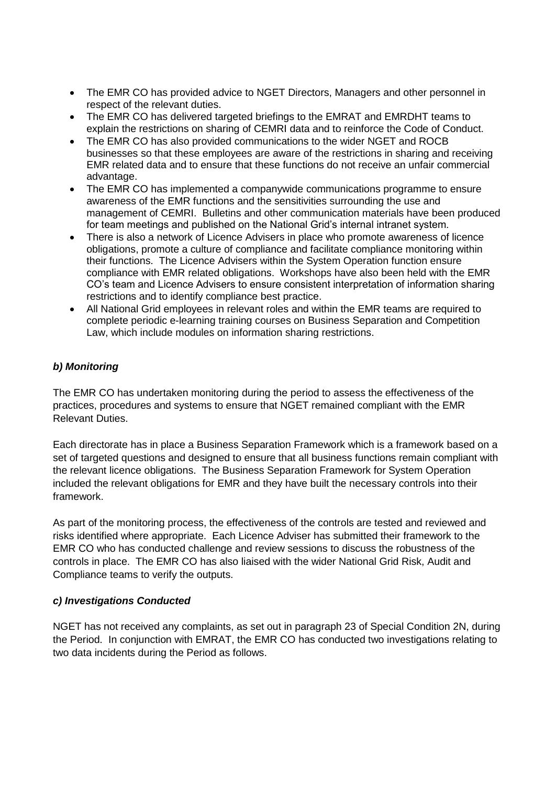- The EMR CO has provided advice to NGET Directors, Managers and other personnel in respect of the relevant duties.
- The EMR CO has delivered targeted briefings to the EMRAT and EMRDHT teams to explain the restrictions on sharing of CEMRI data and to reinforce the Code of Conduct.
- The EMR CO has also provided communications to the wider NGET and ROCB businesses so that these employees are aware of the restrictions in sharing and receiving EMR related data and to ensure that these functions do not receive an unfair commercial advantage.
- The EMR CO has implemented a companywide communications programme to ensure awareness of the EMR functions and the sensitivities surrounding the use and management of CEMRI. Bulletins and other communication materials have been produced for team meetings and published on the National Grid's internal intranet system.
- There is also a network of Licence Advisers in place who promote awareness of licence obligations, promote a culture of compliance and facilitate compliance monitoring within their functions. The Licence Advisers within the System Operation function ensure compliance with EMR related obligations. Workshops have also been held with the EMR CO's team and Licence Advisers to ensure consistent interpretation of information sharing restrictions and to identify compliance best practice.
- All National Grid employees in relevant roles and within the EMR teams are required to complete periodic e-learning training courses on Business Separation and Competition Law, which include modules on information sharing restrictions.

# *b) Monitoring*

The EMR CO has undertaken monitoring during the period to assess the effectiveness of the practices, procedures and systems to ensure that NGET remained compliant with the EMR Relevant Duties.

Each directorate has in place a Business Separation Framework which is a framework based on a set of targeted questions and designed to ensure that all business functions remain compliant with the relevant licence obligations. The Business Separation Framework for System Operation included the relevant obligations for EMR and they have built the necessary controls into their framework.

As part of the monitoring process, the effectiveness of the controls are tested and reviewed and risks identified where appropriate. Each Licence Adviser has submitted their framework to the EMR CO who has conducted challenge and review sessions to discuss the robustness of the controls in place. The EMR CO has also liaised with the wider National Grid Risk, Audit and Compliance teams to verify the outputs.

#### *c) Investigations Conducted*

NGET has not received any complaints, as set out in paragraph 23 of Special Condition 2N, during the Period. In conjunction with EMRAT, the EMR CO has conducted two investigations relating to two data incidents during the Period as follows.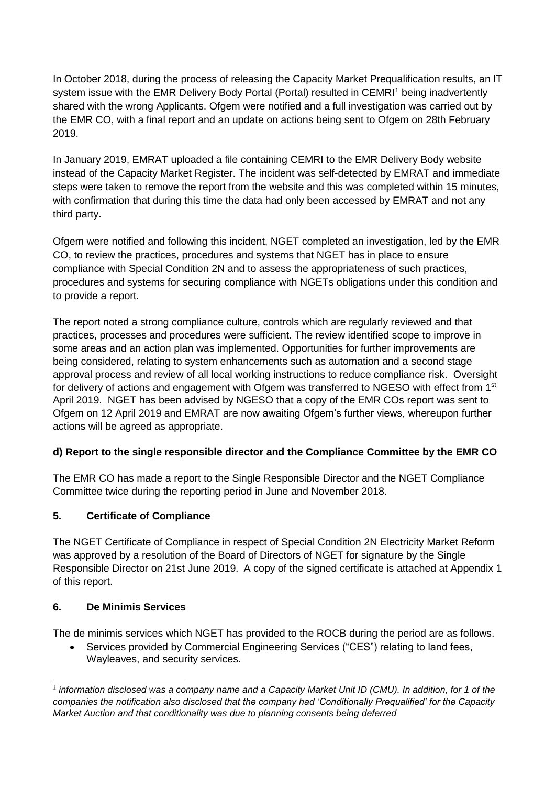In October 2018, during the process of releasing the Capacity Market Prequalification results, an IT system issue with the EMR Delivery Body Portal (Portal) resulted in CEMRI<sup>1</sup> being inadvertently shared with the wrong Applicants. Ofgem were notified and a full investigation was carried out by the EMR CO, with a final report and an update on actions being sent to Ofgem on 28th February 2019.

In January 2019, EMRAT uploaded a file containing CEMRI to the EMR Delivery Body website instead of the Capacity Market Register. The incident was self-detected by EMRAT and immediate steps were taken to remove the report from the website and this was completed within 15 minutes, with confirmation that during this time the data had only been accessed by EMRAT and not any third party.

Ofgem were notified and following this incident, NGET completed an investigation, led by the EMR CO, to review the practices, procedures and systems that NGET has in place to ensure compliance with Special Condition 2N and to assess the appropriateness of such practices, procedures and systems for securing compliance with NGETs obligations under this condition and to provide a report.

The report noted a strong compliance culture, controls which are regularly reviewed and that practices, processes and procedures were sufficient. The review identified scope to improve in some areas and an action plan was implemented. Opportunities for further improvements are being considered, relating to system enhancements such as automation and a second stage approval process and review of all local working instructions to reduce compliance risk. Oversight for delivery of actions and engagement with Ofgem was transferred to NGESO with effect from 1<sup>st</sup> April 2019. NGET has been advised by NGESO that a copy of the EMR COs report was sent to Ofgem on 12 April 2019 and EMRAT are now awaiting Ofgem's further views, whereupon further actions will be agreed as appropriate.

# **d) Report to the single responsible director and the Compliance Committee by the EMR CO**

The EMR CO has made a report to the Single Responsible Director and the NGET Compliance Committee twice during the reporting period in June and November 2018.

#### **5. Certificate of Compliance**

The NGET Certificate of Compliance in respect of Special Condition 2N Electricity Market Reform was approved by a resolution of the Board of Directors of NGET for signature by the Single Responsible Director on 21st June 2019. A copy of the signed certificate is attached at Appendix 1 of this report.

#### **6. De Minimis Services**

The de minimis services which NGET has provided to the ROCB during the period are as follows.

• Services provided by Commercial Engineering Services ("CES") relating to land fees, Wayleaves, and security services.

 $\overline{a}$ *1 information disclosed was a company name and a Capacity Market Unit ID (CMU). In addition, for 1 of the companies the notification also disclosed that the company had 'Conditionally Prequalified' for the Capacity Market Auction and that conditionality was due to planning consents being deferred*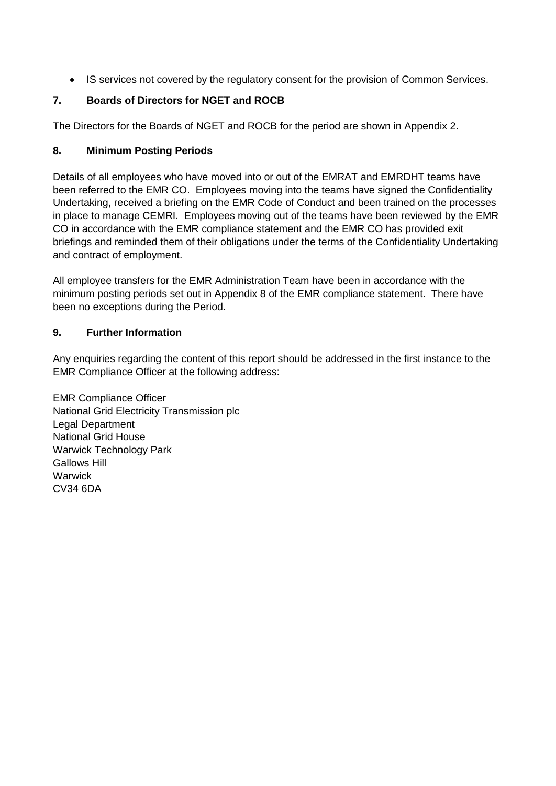• IS services not covered by the regulatory consent for the provision of Common Services.

# **7. Boards of Directors for NGET and ROCB**

The Directors for the Boards of NGET and ROCB for the period are shown in Appendix 2.

#### **8. Minimum Posting Periods**

Details of all employees who have moved into or out of the EMRAT and EMRDHT teams have been referred to the EMR CO. Employees moving into the teams have signed the Confidentiality Undertaking, received a briefing on the EMR Code of Conduct and been trained on the processes in place to manage CEMRI. Employees moving out of the teams have been reviewed by the EMR CO in accordance with the EMR compliance statement and the EMR CO has provided exit briefings and reminded them of their obligations under the terms of the Confidentiality Undertaking and contract of employment.

All employee transfers for the EMR Administration Team have been in accordance with the minimum posting periods set out in Appendix 8 of the EMR compliance statement. There have been no exceptions during the Period.

#### **9. Further Information**

Any enquiries regarding the content of this report should be addressed in the first instance to the EMR Compliance Officer at the following address:

EMR Compliance Officer National Grid Electricity Transmission plc Legal Department National Grid House Warwick Technology Park Gallows Hill **Warwick** CV34 6DA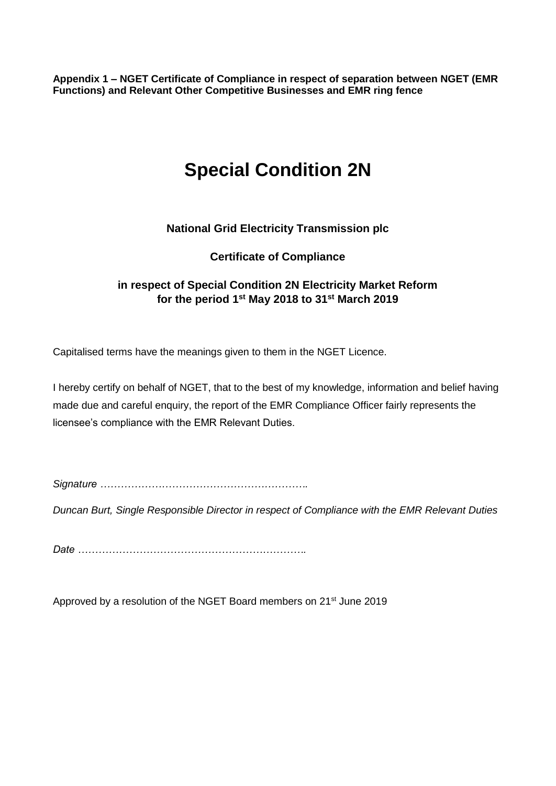**Appendix 1 – NGET Certificate of Compliance in respect of separation between NGET (EMR Functions) and Relevant Other Competitive Businesses and EMR ring fence**

# **Special Condition 2N**

# **National Grid Electricity Transmission plc**

# **Certificate of Compliance**

# **in respect of Special Condition 2N Electricity Market Reform for the period 1st May 2018 to 31st March 2019**

Capitalised terms have the meanings given to them in the NGET Licence.

I hereby certify on behalf of NGET, that to the best of my knowledge, information and belief having made due and careful enquiry, the report of the EMR Compliance Officer fairly represents the licensee's compliance with the EMR Relevant Duties.

*Signature …………………………………………………….*

*Duncan Burt, Single Responsible Director in respect of Compliance with the EMR Relevant Duties* 

*Date ………………………………………………………….*

Approved by a resolution of the NGET Board members on 21<sup>st</sup> June 2019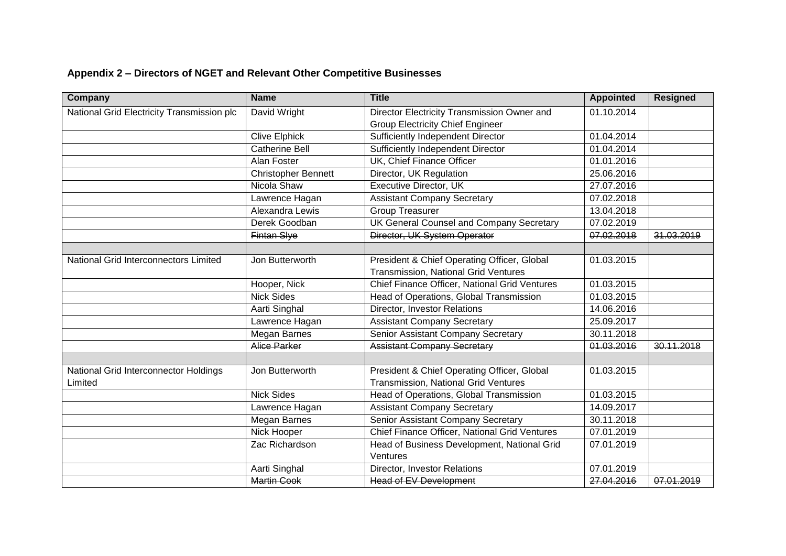# **Appendix 2 – Directors of NGET and Relevant Other Competitive Businesses**

| <b>Company</b>                             | <b>Name</b>                | <b>Title</b>                                    | <b>Appointed</b> | <b>Resigned</b> |
|--------------------------------------------|----------------------------|-------------------------------------------------|------------------|-----------------|
| National Grid Electricity Transmission plc | David Wright               | Director Electricity Transmission Owner and     | 01.10.2014       |                 |
|                                            |                            | <b>Group Electricity Chief Engineer</b>         |                  |                 |
|                                            | <b>Clive Elphick</b>       | <b>Sufficiently Independent Director</b>        | 01.04.2014       |                 |
|                                            | <b>Catherine Bell</b>      | <b>Sufficiently Independent Director</b>        | 01.04.2014       |                 |
|                                            | Alan Foster                | UK, Chief Finance Officer                       | 01.01.2016       |                 |
|                                            | <b>Christopher Bennett</b> | Director, UK Regulation                         | 25.06.2016       |                 |
|                                            | Nicola Shaw                | <b>Executive Director, UK</b>                   | 27.07.2016       |                 |
|                                            | Lawrence Hagan             | <b>Assistant Company Secretary</b>              | 07.02.2018       |                 |
|                                            | Alexandra Lewis            | Group Treasurer                                 | 13.04.2018       |                 |
|                                            | Derek Goodban              | <b>UK General Counsel and Company Secretary</b> | 07.02.2019       |                 |
|                                            | <b>Fintan Slye</b>         | Director, UK System Operator                    | 07.02.2018       | 31.03.2019      |
|                                            |                            |                                                 |                  |                 |
| National Grid Interconnectors Limited      | Jon Butterworth            | President & Chief Operating Officer, Global     | 01.03.2015       |                 |
|                                            |                            | Transmission, National Grid Ventures            |                  |                 |
|                                            | Hooper, Nick               | Chief Finance Officer, National Grid Ventures   | 01.03.2015       |                 |
|                                            | <b>Nick Sides</b>          | Head of Operations, Global Transmission         | 01.03.2015       |                 |
|                                            | Aarti Singhal              | Director, Investor Relations                    | 14.06.2016       |                 |
|                                            | Lawrence Hagan             | <b>Assistant Company Secretary</b>              | 25.09.2017       |                 |
|                                            | Megan Barnes               | Senior Assistant Company Secretary              | 30.11.2018       |                 |
|                                            | <b>Alice Parker</b>        | <b>Assistant Company Secretary</b>              | 01.03.2016       | 30.11.2018      |
|                                            |                            |                                                 |                  |                 |
| National Grid Interconnector Holdings      | Jon Butterworth            | President & Chief Operating Officer, Global     | 01.03.2015       |                 |
| Limited                                    |                            | Transmission, National Grid Ventures            |                  |                 |
|                                            | <b>Nick Sides</b>          | Head of Operations, Global Transmission         | 01.03.2015       |                 |
|                                            | Lawrence Hagan             | <b>Assistant Company Secretary</b>              | 14.09.2017       |                 |
|                                            | <b>Megan Barnes</b>        | Senior Assistant Company Secretary              | 30.11.2018       |                 |
|                                            | Nick Hooper                | Chief Finance Officer, National Grid Ventures   | 07.01.2019       |                 |
|                                            | Zac Richardson             | Head of Business Development, National Grid     | 07.01.2019       |                 |
|                                            |                            | Ventures                                        |                  |                 |
|                                            | Aarti Singhal              | Director, Investor Relations                    | 07.01.2019       |                 |
|                                            | <b>Martin Cook</b>         | <b>Head of EV Development</b>                   | 27.04.2016       | 07.01.2019      |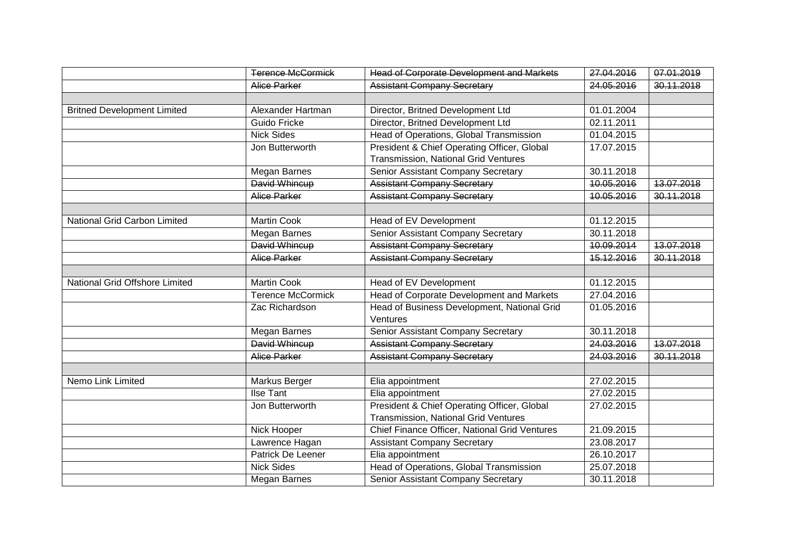|                                    | <b>Terence McCormick</b> | <b>Head of Corporate Development and Markets</b> | 27.04.2016 | 07.01.2019 |
|------------------------------------|--------------------------|--------------------------------------------------|------------|------------|
|                                    | Alice Parker             | <b>Assistant Company Secretary</b>               | 24.05.2016 | 30.11.2018 |
|                                    |                          |                                                  |            |            |
| <b>Britned Development Limited</b> | Alexander Hartman        | Director, Britned Development Ltd                | 01.01.2004 |            |
|                                    | <b>Guido Fricke</b>      | Director, Britned Development Ltd                | 02.11.2011 |            |
|                                    | <b>Nick Sides</b>        | Head of Operations, Global Transmission          | 01.04.2015 |            |
|                                    | Jon Butterworth          | President & Chief Operating Officer, Global      | 17.07.2015 |            |
|                                    |                          | Transmission, National Grid Ventures             |            |            |
|                                    | <b>Megan Barnes</b>      | Senior Assistant Company Secretary               | 30.11.2018 |            |
|                                    | David Whincup            | <b>Assistant Company Secretary</b>               | 10.05.2016 | 13.07.2018 |
|                                    | Alice Parker             | <b>Assistant Company Secretary</b>               | 10.05.2016 | 30.11.2018 |
|                                    |                          |                                                  |            |            |
| National Grid Carbon Limited       | <b>Martin Cook</b>       | <b>Head of EV Development</b>                    | 01.12.2015 |            |
|                                    | <b>Megan Barnes</b>      | Senior Assistant Company Secretary               | 30.11.2018 |            |
|                                    | David Whincup            | <b>Assistant Company Secretary</b>               | 10.09.2014 | 13.07.2018 |
|                                    | Alice Parker             | <b>Assistant Company Secretary</b>               | 15.12.2016 | 30.11.2018 |
|                                    |                          |                                                  |            |            |
| National Grid Offshore Limited     | <b>Martin Cook</b>       | Head of EV Development                           | 01.12.2015 |            |
|                                    | <b>Terence McCormick</b> | Head of Corporate Development and Markets        | 27.04.2016 |            |
|                                    | Zac Richardson           | Head of Business Development, National Grid      | 01.05.2016 |            |
|                                    |                          | Ventures                                         |            |            |
|                                    | Megan Barnes             | Senior Assistant Company Secretary               | 30.11.2018 |            |
|                                    | David Whincup            | <b>Assistant Company Secretary</b>               | 24.03.2016 | 13.07.2018 |
|                                    | Alice Parker             | <b>Assistant Company Secretary</b>               | 24.03.2016 | 30.11.2018 |
|                                    |                          |                                                  |            |            |
| Nemo Link Limited                  | Markus Berger            | Elia appointment                                 | 27.02.2015 |            |
|                                    | <b>Ilse Tant</b>         | Elia appointment                                 | 27.02.2015 |            |
|                                    | Jon Butterworth          | President & Chief Operating Officer, Global      | 27.02.2015 |            |
|                                    |                          | <b>Transmission, National Grid Ventures</b>      |            |            |
|                                    | <b>Nick Hooper</b>       | Chief Finance Officer, National Grid Ventures    | 21.09.2015 |            |
|                                    | Lawrence Hagan           | <b>Assistant Company Secretary</b>               | 23.08.2017 |            |
|                                    | Patrick De Leener        | Elia appointment                                 | 26.10.2017 |            |
|                                    | <b>Nick Sides</b>        | Head of Operations, Global Transmission          | 25.07.2018 |            |
|                                    | <b>Megan Barnes</b>      | Senior Assistant Company Secretary               | 30.11.2018 |            |